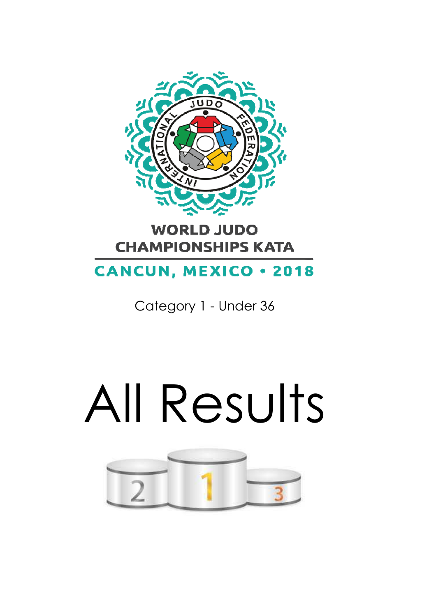

### **WORLD JUDO CHAMPIONSHIPS KATA**

## **CANCUN, MEXICO . 2018**

Category 1 - Under 36

# All Results

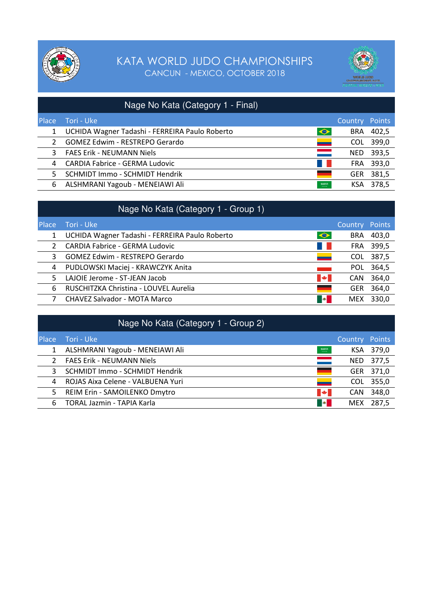



|               | Nage No Kata (Category 1 - Final)              |            |                       |           |
|---------------|------------------------------------------------|------------|-----------------------|-----------|
| Place         | Tori - Uke                                     |            | <b>Country Points</b> |           |
|               | UCHIDA Wagner Tadashi - FERREIRA Paulo Roberto | $\bullet$  | <b>BRA</b>            | 402,5     |
| $\mathcal{P}$ | <b>GOMEZ Edwim - RESTREPO Gerardo</b>          | -          | <b>COL</b>            | 399,0     |
| 3             | <b>FAES Erik - NEUMANN Niels</b>               | <u>and</u> | NED.                  | 393,5     |
| 4             | <b>CARDIA Fabrice - GERMA Ludovic</b>          | a sa b     |                       | FRA 393,0 |
| 5.            | SCHMIDT Immo - SCHMIDT Hendrik                 |            | <b>GER</b>            | 381,5     |
| 6             | ALSHMRANI Yagoub - MENEIAWI Ali                | 599513     | KSA                   | 378,5     |

|              | Nage No Kata (Category 1 - Group 1)            |                              |            |           |
|--------------|------------------------------------------------|------------------------------|------------|-----------|
| <b>Place</b> | Tori - Uke                                     |                              | Country    | Points    |
|              | UCHIDA Wagner Tadashi - FERREIRA Paulo Roberto | $\bullet$                    | BRA        | 403,0     |
|              | <b>CARDIA Fabrice - GERMA Ludovic</b>          | a di                         |            | FRA 399,5 |
| 3            | GOMEZ Edwim - RESTREPO Gerardo                 | <u>e a</u>                   | <b>COL</b> | 387,5     |
| 4            | PUDLOWSKI Maciej - KRAWCZYK Anita              | a sa Tan                     | POL.       | 364,5     |
| 5.           | LAJOIE Jerome - ST-JEAN Jacob                  | $\left  \frac{1}{2} \right $ | <b>CAN</b> | 364,0     |
| 6            | RUSCHITZKA Christina - LOUVEL Aurelia          |                              | <b>GER</b> | 364,0     |
|              | CHAVEZ Salvador - MOTA Marco                   | $\blacksquare$               | <b>MEX</b> | 330,0     |

|              | Nage No Kata (Category 1 - Group 2) |              |            |           |
|--------------|-------------------------------------|--------------|------------|-----------|
| <b>Place</b> | Tori - Uke                          |              | Country    | Points    |
|              | ALSHMRANI Yagoub - MENEIAWI Ali     | <b>BIOLE</b> |            | KSA 379,0 |
| 2            | <b>FAES Erik - NEUMANN Niels</b>    | $\equiv$     | NED.       | 377,5     |
| 3            | SCHMIDT Immo - SCHMIDT Hendrik      |              | GER        | 371,0     |
| 4            | ROJAS Aixa Celene - VALBUENA Yuri   | <b>__</b>    | COL.       | 355,0     |
| 5.           | REIM Erin - SAMOILENKO Dmytro       | <b>A</b>     | <b>CAN</b> | 348,0     |
| 6            | TORAL Jazmin - TAPIA Karla          | <b>B</b>     | <b>MEX</b> | 287,5     |
|              |                                     |              |            |           |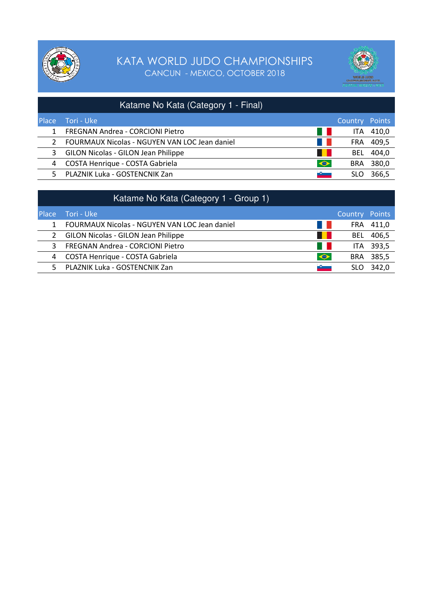



|              | Katame No Kata (Category 1 - Final)                    |                |       |
|--------------|--------------------------------------------------------|----------------|-------|
| <b>Place</b> | Tori - Uke                                             | Country Points |       |
|              | FREGNAN Andrea - CORCIONI Pietro<br>a ka               | <b>ITA</b>     | 410,0 |
|              | an in<br>FOURMAUX Nicolas - NGUYEN VAN LOC Jean daniel | FRA.           | 409,5 |
| 3            | <b>GILON Nicolas - GILON Jean Philippe</b>             | <b>BEL</b>     | 404,0 |
| 4            | $\blacklozenge$<br>COSTA Henrique - COSTA Gabriela     | <b>BRA</b>     | 380,0 |
| .5.          | PLAZNIK Luka - GOSTENCNIK Zan<br><b>START OF</b>       | SLO            | 366.5 |

|              | Katame No Kata (Category 1 - Group 1)                           |                |           |
|--------------|-----------------------------------------------------------------|----------------|-----------|
| <b>Place</b> | Tori - Uke                                                      | Country Points |           |
|              | FOURMAUX Nicolas - NGUYEN VAN LOC Jean daniel<br><b>COMPANY</b> | FRA.           | 411,0     |
|              | 2 GILON Nicolas - GILON Jean Philippe<br>. .                    | <b>BEL</b>     | 406,5     |
| 3            | FREGNAN Andrea - CORCIONI Pietro<br>- 1                         |                | ITA 393,5 |
| 4            | $\bullet$<br>COSTA Henrique - COSTA Gabriela                    | BRA            | 385,5     |
| 5.           | PLAZNIK Luka - GOSTENCNIK Zan<br>$\sim$                         | SLO            | 342.0     |
|              |                                                                 |                |           |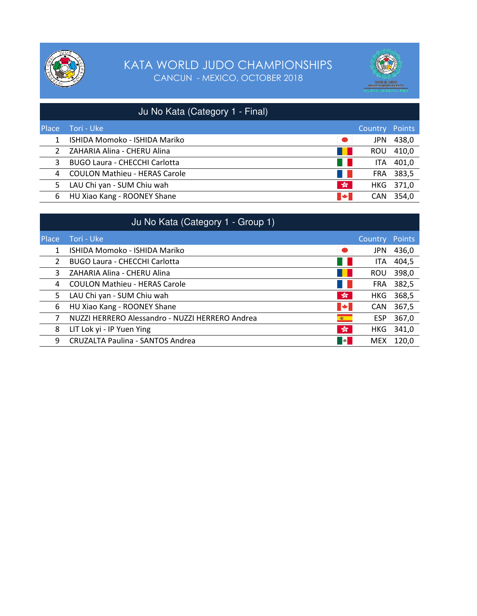



|              | Ju No Kata (Category 1 - Final)      |                       |                       |           |
|--------------|--------------------------------------|-----------------------|-----------------------|-----------|
| <b>Place</b> | Tori - Uke                           |                       | <b>Country Points</b> |           |
| 1            | ISHIDA Momoko - ISHIDA Mariko        | $\bullet$             | <b>JPN</b>            | 438,0     |
|              | ZAHARIA Alina - CHERU Alina          | a kati                | <b>ROU</b>            | 410,0     |
| 3            | <b>BUGO Laura - CHECCHI Carlotta</b> | a kati                | ITA.                  | 401,0     |
| 4            | <b>COULON Mathieu - HERAS Carole</b> | a ka                  | FRA.                  | 383,5     |
| 5.           | LAU Chi yan - SUM Chiu wah           | $\frac{\sqrt{2}}{20}$ |                       | HKG 371,0 |
| 6            | HU Xiao Kang - ROONEY Shane          | $\blacktriangleright$ | <b>CAN</b>            | 354,0     |

|              | Ju No Kata (Category 1 - Group 1)               |                              |            |        |
|--------------|-------------------------------------------------|------------------------------|------------|--------|
| <b>Place</b> | Tori - Uke                                      |                              | Country    | Points |
|              | ISHIDA Momoko - ISHIDA Mariko                   | $\bullet$                    | <b>JPN</b> | 436,0  |
| 2            | <b>BUGO Laura - CHECCHI Carlotta</b>            |                              | <b>ITA</b> | 404,5  |
| 3            | ZAHARIA Alina - CHERU Alina                     |                              | <b>ROU</b> | 398,0  |
| 4            | <b>COULON Mathieu - HERAS Carole</b>            |                              | FRA        | 382,5  |
| 5.           | LAU Chi yan - SUM Chiu wah                      | $\frac{1}{200}$              | HKG.       | 368,5  |
| 6            | HU Xiao Kang - ROONEY Shane                     | $\blacktriangleright$        | <b>CAN</b> | 367,5  |
|              | NUZZI HERRERO Alessandro - NUZZI HERRERO Andrea | 藤川                           | <b>ESP</b> | 367,0  |
| 8            | LIT Lok yi - IP Yuen Ying                       | $\frac{\sqrt{2}}{2\sqrt{3}}$ | HKG.       | 341,0  |
| 9            | <b>CRUZALTA Paulina - SANTOS Andrea</b>         | <b>B</b>                     | <b>MEX</b> | 120.0  |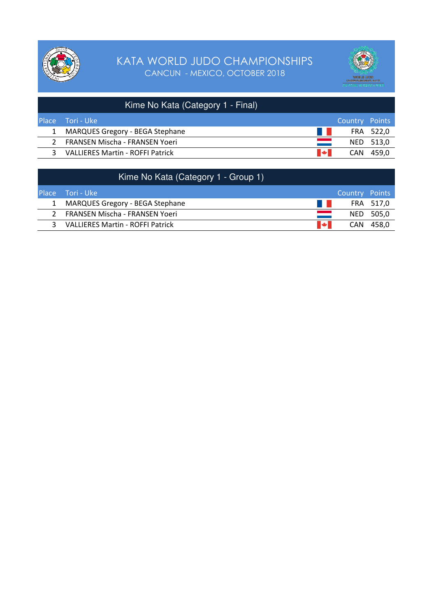



|              | Kime No Kata (Category 1 - Final)       |                       |                |           |
|--------------|-----------------------------------------|-----------------------|----------------|-----------|
| <b>Place</b> | Tori - Uke                              |                       | Country Points |           |
|              | <b>MARQUES Gregory - BEGA Stephane</b>  | <b>The Co</b>         |                | FRA 522,0 |
|              | 2 FRANSEN Mischa - FRANSEN Yoeri        | and a                 |                | NED 513,0 |
| ર            | <b>VALLIERES Martin - ROFFI Patrick</b> | $\blacktriangleright$ |                | CAN 459.0 |
|              |                                         |                       |                |           |

| Kime No Kata (Category 1 - Group 1)                  |                |           |
|------------------------------------------------------|----------------|-----------|
| <b>Place</b> Tori - Uke                              | Country Points |           |
| a ka<br>1 MARQUES Gregory - BEGA Stephane            |                | FRA 517.0 |
| <b>Contract</b><br>FRANSEN Mischa - FRANSEN Yoeri    |                | NED 505,0 |
| <b>I</b> See III<br>VALLIERES Martin - ROFFI Patrick | CAN.           | 458.0     |